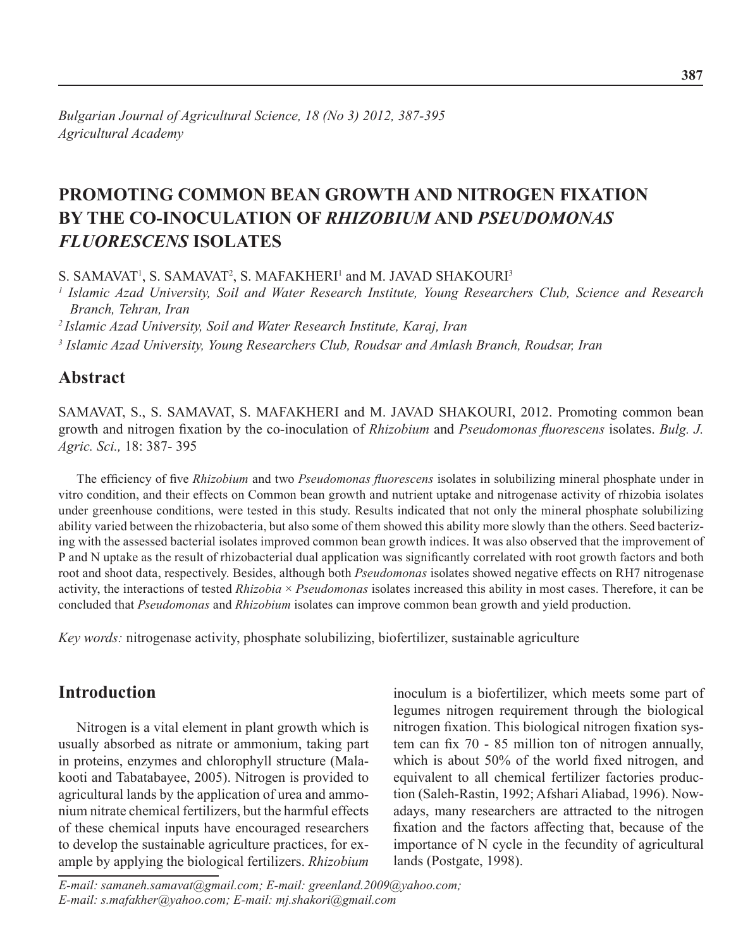# **Promoting Common Bean Growth and Nitrogen Fixation by the Co-Inoculation of** *Rhizobium* **and** *Pseudomonas fluorescens* **Isolates**

S. SAMAVAT<sup>1</sup>, S. SAMAVAT<sup>2</sup>, S. MAFAKHERI<sup>1</sup> and M. JAVAD SHAKOURI<sup>3</sup>

<sup>1</sup> Islamic Azad University, Soil and Water Research Institute, Young Researchers Club, Science and Research *Branch, Tehran, Iran*

*2 Islamic Azad University, Soil and Water Research Institute, Karaj, Iran*

*<sup>3</sup> Islamic Azad University, Young Researchers Club, Roudsar and Amlash Branch, Roudsar, Iran*

### **Abstract**

SAMAVAT, S., S. SAMAVAT, S. MAFAKHERI and M. JAVAD SHAKOURI, 2012. Promoting common bean growth and nitrogen fixation by the co-inoculation of *Rhizobium* and *Pseudomonas fluorescens* isolates. *Bulg. J. Agric. Sci.,* 18: 387- 395

The efficiency of five *Rhizobium* and two *Pseudomonas fluorescens* isolates in solubilizing mineral phosphate under in vitro condition, and their effects on Common bean growth and nutrient uptake and nitrogenase activity of rhizobia isolates under greenhouse conditions, were tested in this study. Results indicated that not only the mineral phosphate solubilizing ability varied between the rhizobacteria, but also some of them showed this ability more slowly than the others. Seed bacterizing with the assessed bacterial isolates improved common bean growth indices. It was also observed that the improvement of P and N uptake as the result of rhizobacterial dual application was significantly correlated with root growth factors and both root and shoot data, respectively. Besides, although both *Pseudomonas* isolates showed negative effects on RH7 nitrogenase activity, the interactions of tested *Rhizobia* × *Pseudomonas* isolates increased this ability in most cases. Therefore, it can be concluded that *Pseudomonas* and *Rhizobium* isolates can improve common bean growth and yield production.

*Key words:* nitrogenase activity, phosphate solubilizing, biofertilizer, sustainable agriculture

### **Introduction**

Nitrogen is a vital element in plant growth which is usually absorbed as nitrate or ammonium, taking part in proteins, enzymes and chlorophyll structure (Malakooti and Tabatabayee, 2005). Nitrogen is provided to agricultural lands by the application of urea and ammonium nitrate chemical fertilizers, but the harmful effects of these chemical inputs have encouraged researchers to develop the sustainable agriculture practices, for example by applying the biological fertilizers. *Rhizobium*

inoculum is a biofertilizer, which meets some part of legumes nitrogen requirement through the biological nitrogen fixation. This biological nitrogen fixation system can fix 70 - 85 million ton of nitrogen annually, which is about 50% of the world fixed nitrogen, and equivalent to all chemical fertilizer factories production (Saleh-Rastin, 1992; Afshari Aliabad, 1996). Nowadays, many researchers are attracted to the nitrogen fixation and the factors affecting that, because of the importance of N cycle in the fecundity of agricultural lands (Postgate, 1998).

*E-mail: samaneh.samavat@gmail.com; E-mail: greenland.2009@yahoo.com; E-mail: s.mafakher@yahoo.com; E-mail: mj.shakori@gmail.com*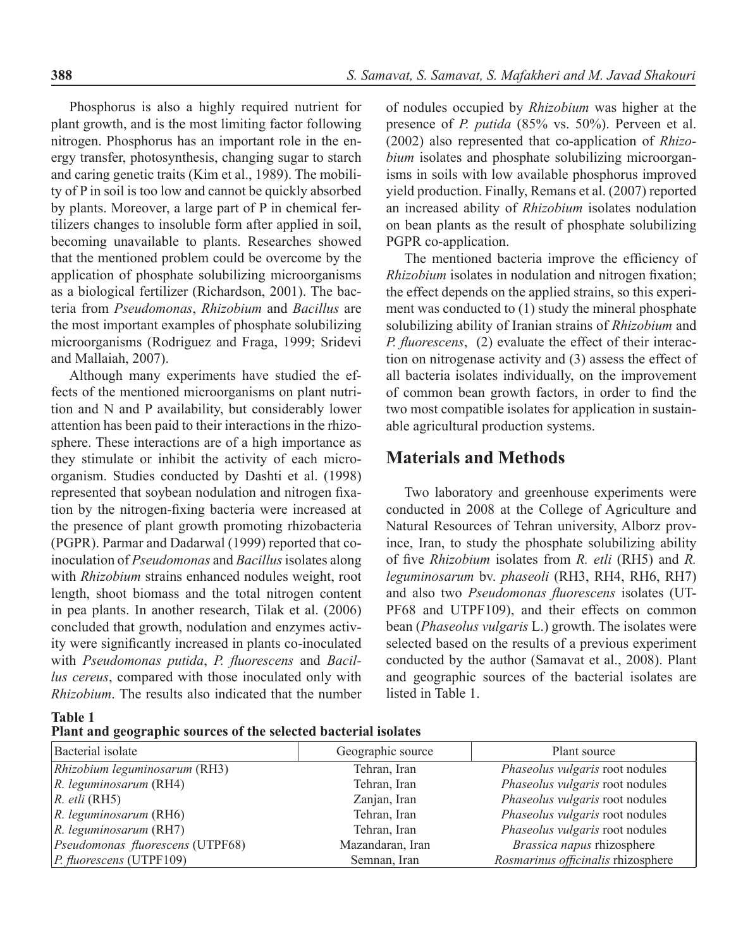Phosphorus is also a highly required nutrient for plant growth, and is the most limiting factor following nitrogen. Phosphorus has an important role in the energy transfer, photosynthesis, changing sugar to starch and caring genetic traits (Kim et al., 1989). The mobility of P in soil is too low and cannot be quickly absorbed by plants. Moreover, a large part of P in chemical fertilizers changes to insoluble form after applied in soil, becoming unavailable to plants. Researches showed that the mentioned problem could be overcome by the application of phosphate solubilizing microorganisms as a biological fertilizer (Richardson, 2001). The bacteria from *Pseudomonas*, *Rhizobium* and *Bacillus* are the most important examples of phosphate solubilizing microorganisms (Rodriguez and Fraga, 1999; Sridevi and Mallaiah, 2007).

Although many experiments have studied the effects of the mentioned microorganisms on plant nutrition and N and P availability, but considerably lower attention has been paid to their interactions in the rhizosphere. These interactions are of a high importance as they stimulate or inhibit the activity of each microorganism. Studies conducted by Dashti et al. (1998) represented that soybean nodulation and nitrogen fixation by the nitrogen-fixing bacteria were increased at the presence of plant growth promoting rhizobacteria (PGPR). Parmar and Dadarwal (1999) reported that coinoculation of *Pseudomonas* and *Bacillus* isolates along with *Rhizobium* strains enhanced nodules weight, root length, shoot biomass and the total nitrogen content in pea plants. In another research, Tilak et al. (2006) concluded that growth, nodulation and enzymes activity were significantly increased in plants co-inoculated with *Pseudomonas putida*, *P. fluorescens* and *Bacillus cereus*, compared with those inoculated only with *Rhizobium*. The results also indicated that the number

of nodules occupied by *Rhizobium* was higher at the presence of *P. putida* (85% vs. 50%). Perveen et al. (2002) also represented that co-application of *Rhizobium* isolates and phosphate solubilizing microorganisms in soils with low available phosphorus improved yield production. Finally, Remans et al. (2007) reported an increased ability of *Rhizobium* isolates nodulation on bean plants as the result of phosphate solubilizing PGPR co-application.

The mentioned bacteria improve the efficiency of *Rhizobium* isolates in nodulation and nitrogen fixation; the effect depends on the applied strains, so this experiment was conducted to (1) study the mineral phosphate solubilizing ability of Iranian strains of *Rhizobium* and *P. fluorescens*, (2) evaluate the effect of their interaction on nitrogenase activity and (3) assess the effect of all bacteria isolates individually, on the improvement of common bean growth factors, in order to find the two most compatible isolates for application in sustainable agricultural production systems.

### **Materials and Methods**

Two laboratory and greenhouse experiments were conducted in 2008 at the College of Agriculture and Natural Resources of Tehran university, Alborz province, Iran, to study the phosphate solubilizing ability of five *Rhizobium* isolates from *R. etli* (RH5) and *R. leguminosarum* bv. *phaseoli* (RH3, RH4, RH6, RH7) and also two *Pseudomonas fluorescens* isolates (UT-PF68 and UTPF109), and their effects on common bean (*Phaseolus vulgaris* L.) growth. The isolates were selected based on the results of a previous experiment conducted by the author (Samavat et al., 2008). Plant and geographic sources of the bacterial isolates are listed in Table 1.

**Table 1**

**Plant and geographic sources of the selected bacterial isolates**

| Bacterial isolate                | Geographic source | Plant source                       |
|----------------------------------|-------------------|------------------------------------|
| Rhizobium leguminosarum (RH3)    | Tehran, Iran      | Phaseolus vulgaris root nodules    |
| $R.$ leguminosarum (RH4)         | Tehran, Iran      | Phaseolus vulgaris root nodules    |
| $R.$ etli (RH5)                  | Zanjan, Iran      | Phaseolus vulgaris root nodules    |
| $R.$ leguminosarum (RH6)         | Tehran, Iran      | Phaseolus vulgaris root nodules    |
| $\vert R.$ leguminosarum (RH7)   | Tehran, Iran      | Phaseolus vulgaris root nodules    |
| Pseudomonas fluorescens (UTPF68) | Mazandaran, Iran  | Brassica napus rhizosphere         |
| $ P_{.}fluorescens$ (UTPF109)    | Semnan, Iran      | Rosmarinus officinalis rhizosphere |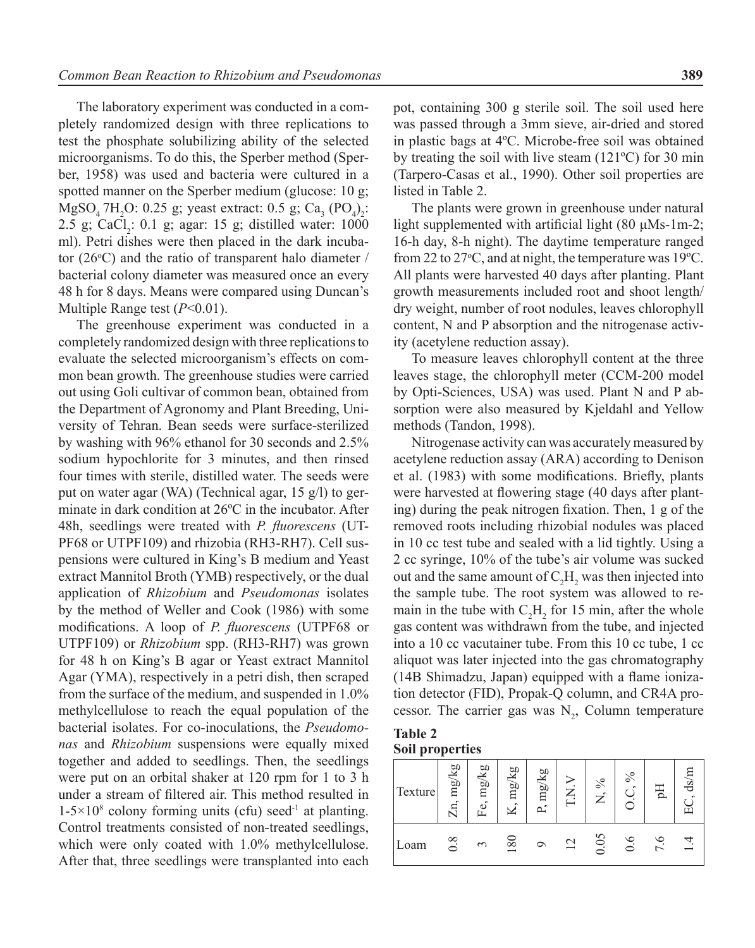The laboratory experiment was conducted in a completely randomized design with three replications to test the phosphate solubilizing ability of the selected microorganisms. To do this, the Sperber method (Sperber, 1958) was used and bacteria were cultured in a spotted manner on the Sperber medium (glucose: 10 g;  $MgSO_4$  7H<sub>2</sub>O: 0.25 g; yeast extract: 0.5 g; Ca<sub>3</sub> (PO<sub>4</sub>)<sub>2</sub>:  $2.5$  g; CaCl<sub>2</sub>: 0.1 g; agar: 15 g; distilled water: 1000 ml). Petri dishes were then placed in the dark incubator  $(26^{\circ}C)$  and the ratio of transparent halo diameter / bacterial colony diameter was measured once an every 48 h for 8 days. Means were compared using Duncan's Multiple Range test (*P*<0.01).

The greenhouse experiment was conducted in a completely randomized design with three replications to evaluate the selected microorganism's effects on common bean growth. The greenhouse studies were carried out using Goli cultivar of common bean, obtained from the Department of Agronomy and Plant Breeding, University of Tehran. Bean seeds were surface-sterilized by washing with 96% ethanol for 30 seconds and 2.5% sodium hypochlorite for 3 minutes, and then rinsed four times with sterile, distilled water. The seeds were put on water agar (WA) (Technical agar, 15 g/l) to germinate in dark condition at 26ºC in the incubator. After 48h, seedlings were treated with *P. fluorescens* (UT-PF68 or UTPF109) and rhizobia (RH3-RH7). Cell suspensions were cultured in King's B medium and Yeast extract Mannitol Broth (YMB) respectively, or the dual application of *Rhizobium* and *Pseudomonas* isolates by the method of Weller and Cook (1986) with some modifications. A loop of *P. fluorescens* (UTPF68 or UTPF109) or *Rhizobium* spp. (RH3-RH7) was grown for 48 h on King's B agar or Yeast extract Mannitol Agar (YMA), respectively in a petri dish, then scraped from the surface of the medium, and suspended in 1.0% methylcellulose to reach the equal population of the bacterial isolates. For co-inoculations, the *Pseudomonas* and *Rhizobium* suspensions were equally mixed together and added to seedlings. Then, the seedlings were put on an orbital shaker at 120 rpm for 1 to 3 h under a stream of filtered air. This method resulted in  $1-5\times10^8$  colony forming units (cfu) seed<sup>-1</sup> at planting. Control treatments consisted of non-treated seedlings, which were only coated with 1.0% methylcellulose. After that, three seedlings were transplanted into each

pot, containing 300 g sterile soil. The soil used here was passed through a 3mm sieve, air-dried and stored in plastic bags at 4ºC. Microbe-free soil was obtained by treating the soil with live steam (121ºC) for 30 min (Tarpero-Casas et al., 1990). Other soil properties are listed in Table 2.

The plants were grown in greenhouse under natural light supplemented with artificial light  $(80 \mu Ms-1m-2)$ ; 16-h day, 8-h night). The daytime temperature ranged from 22 to 27 $\rm{^{\circ}C}$ , and at night, the temperature was 19 $\rm{^{\circ}C}$ . All plants were harvested 40 days after planting. Plant growth measurements included root and shoot length/ dry weight, number of root nodules, leaves chlorophyll content, N and P absorption and the nitrogenase activity (acetylene reduction assay).

To measure leaves chlorophyll content at the three leaves stage, the chlorophyll meter (CCM-200 model by Opti-Sciences, USA) was used. Plant N and P absorption were also measured by Kjeldahl and Yellow methods (Tandon, 1998).

Nitrogenase activity can was accurately measured by acetylene reduction assay (ARA) according to Denison et al. (1983) with some modifications. Briefly, plants were harvested at flowering stage (40 days after planting) during the peak nitrogen fixation. Then, 1 g of the removed roots including rhizobial nodules was placed in 10 cc test tube and sealed with a lid tightly. Using a 2 cc syringe, 10% of the tube's air volume was sucked out and the same amount of  $C_2H_2$  was then injected into the sample tube. The root system was allowed to remain in the tube with  $C_2H_2$  for 15 min, after the whole gas content was withdrawn from the tube, and injected into a 10 cc vacutainer tube. From this 10 cc tube, 1 cc aliquot was later injected into the gas chromatography (14B Shimadzu, Japan) equipped with a flame ionization detector (FID), Propak-Q column, and CR4A processor. The carrier gas was  $N_2$ , Column temperature

**Table 2 Soil properties**

| Texture | mg/kg<br>$\sim$     | mg/kg<br>ΕÓ, | ag/kg<br>$\sim$ | mg/kg<br>ثم |    | $\%$<br>$\sim$<br>$\mathsf{z}$ | $\%$<br>$\sim$ | 둥      | ds/r |
|---------|---------------------|--------------|-----------------|-------------|----|--------------------------------|----------------|--------|------|
| Loam    | $\infty$<br>$\circ$ | $\epsilon$   | 180             | ⌒           | 12 | 0.05                           | ≌<br>○         | ∽<br>↽ |      |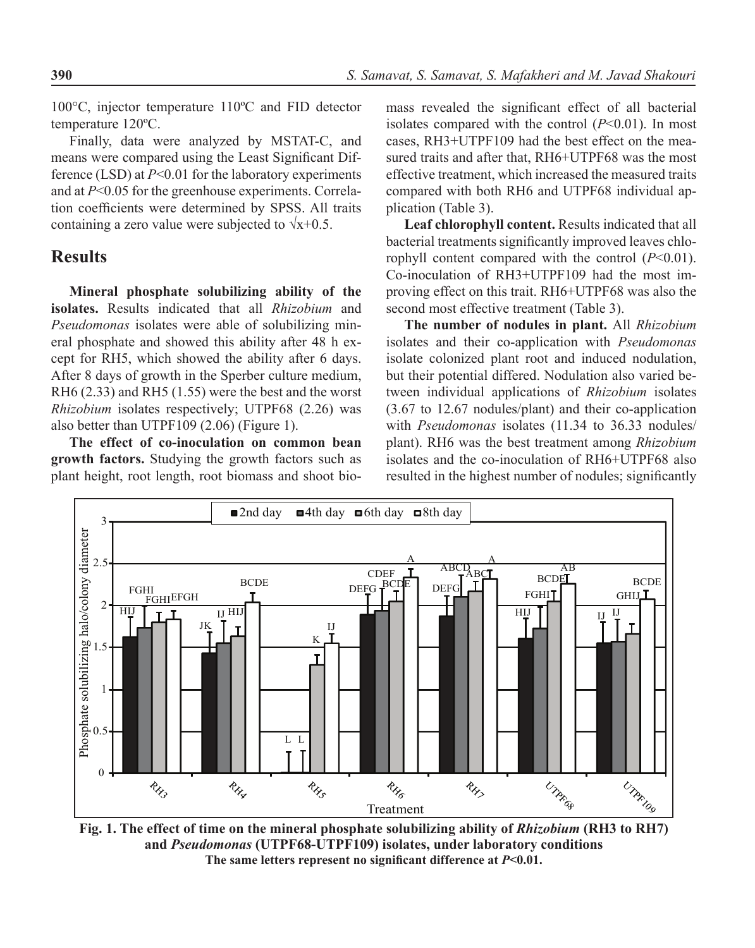100°C, injector temperature 110ºC and FID detector temperature 120ºC.

Finally, data were analyzed by MSTAT-C, and means were compared using the Least Significant Difference (LSD) at *P*<0.01 for the laboratory experiments and at *P*<0.05 for the greenhouse experiments. Correlation coefficients were determined by SPSS. All traits containing a zero value were subjected to  $\sqrt{x}+0.5$ .

#### **Results**

**Mineral phosphate solubilizing ability of the isolates.** Results indicated that all *Rhizobium* and *Pseudomonas* isolates were able of solubilizing mineral phosphate and showed this ability after 48 h except for RH5, which showed the ability after 6 days. After 8 days of growth in the Sperber culture medium, RH6 (2.33) and RH5 (1.55) were the best and the worst *Rhizobium* isolates respectively; UTPF68 (2.26) was also better than UTPF109 (2.06) (Figure 1).

**The effect of co-inoculation on common bean growth factors.** Studying the growth factors such as plant height, root length, root biomass and shoot bio-

mass revealed the significant effect of all bacterial isolates compared with the control (*P*<0.01). In most cases, RH3+UTPF109 had the best effect on the measured traits and after that, RH6+UTPF68 was the most effective treatment, which increased the measured traits compared with both RH6 and UTPF68 individual application (Table 3).

**Leaf chlorophyll content.** Results indicated that all bacterial treatments significantly improved leaves chlorophyll content compared with the control (*P*<0.01). Co-inoculation of RH3+UTPF109 had the most improving effect on this trait. RH6+UTPF68 was also the second most effective treatment (Table 3).

**The number of nodules in plant.** All *Rhizobium* isolates and their co-application with *Pseudomonas* isolate colonized plant root and induced nodulation, but their potential differed. Nodulation also varied between individual applications of *Rhizobium* isolates (3.67 to 12.67 nodules/plant) and their co-application with *Pseudomonas* isolates (11.34 to 36.33 nodules/ plant). RH6 was the best treatment among *Rhizobium* isolates and the co-inoculation of RH6+UTPF68 also resulted in the highest number of nodules; significantly



**Fig. 1. The effect of time on the mineral phosphate solubilizing ability of** *Rhizobium* **(RH3 to RH7) and** *Pseudomonas* **(UTPF68-UTPF109) isolates, under laboratory conditions The same letters represent no significant difference at** *P***<0.01.**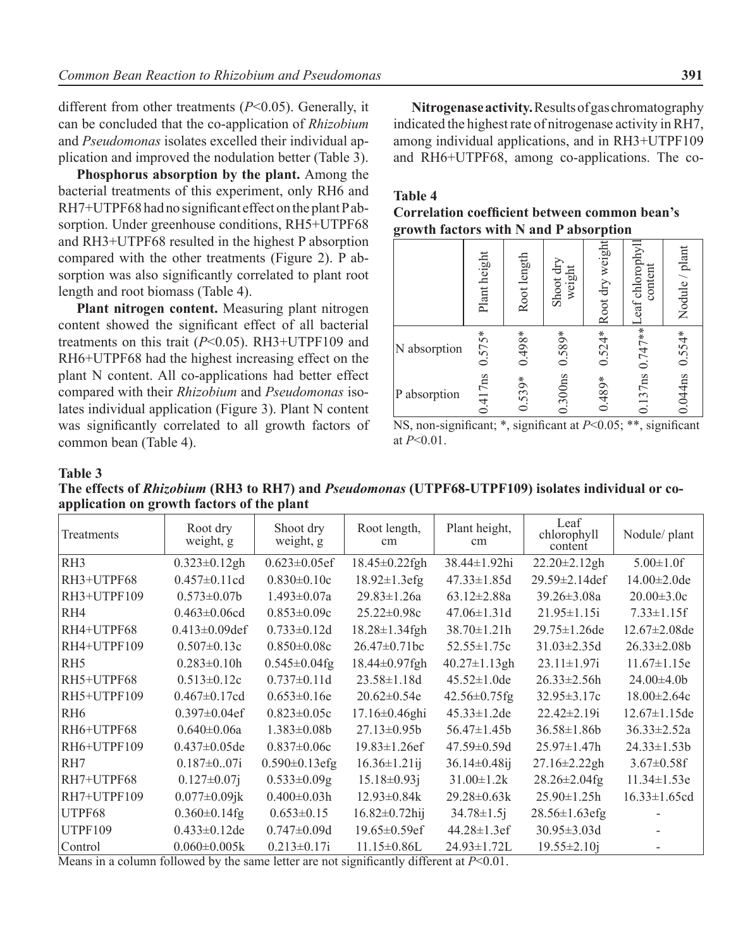different from other treatments (*P*<0.05). Generally, it can be concluded that the co-application of *Rhizobium* and *Pseudomonas* isolates excelled their individual application and improved the nodulation better (Table 3).

**Phosphorus absorption by the plant.** Among the bacterial treatments of this experiment, only RH6 and RH7+UTPF68 had no significant effect on the plant P absorption. Under greenhouse conditions, RH5+UTPF68 and RH3+UTPF68 resulted in the highest P absorption compared with the other treatments (Figure 2). P absorption was also significantly correlated to plant root length and root biomass (Table 4).

**Plant nitrogen content.** Measuring plant nitrogen content showed the significant effect of all bacterial treatments on this trait (*P*<0.05). RH3+UTPF109 and RH6+UTPF68 had the highest increasing effect on the plant N content. All co-applications had better effect compared with their *Rhizobium* and *Pseudomonas* isolates individual application (Figure 3). Plant N content was significantly correlated to all growth factors of common bean (Table 4).

**Nitrogenase activity.** Results of gas chromatography indicated the highest rate of nitrogenase activity in RH7, among individual applications, and in RH3+UTPF109 and RH6+UTPF68, among co-applications. The co-

#### **Table 4**

| Correlation coefficient between common bean's |  |
|-----------------------------------------------|--|
| growth factors with N and P absorption        |  |

|              | Plant height | Root length | Shoot dry<br>weight | Root dry weight | eaf chlorophyll<br>content | Nodule / plant |
|--------------|--------------|-------------|---------------------|-----------------|----------------------------|----------------|
| N absorption | $0.575*$     | $0.498*$    | $0.589*$            | $0.524*$        |                            | $0.554*$       |
| P absorption | 0.417ns      | $0.539*$    | $0.300$ ns          | $0.489*$        | $0.137$ ns $0.747**$       | 0.044ns        |

NS, non-significant; \*, significant at *P*<0.05; \*\*, significant at *P*<0.01.

#### **Table 3**

| The effects of Rhizobium (RH3 to RH7) and Pseudomonas (UTPF68-UTPF109) isolates individual or co- |  |
|---------------------------------------------------------------------------------------------------|--|
| application on growth factors of the plant                                                        |  |

| Treatments      | Root dry<br>weight, g | Shoot dry<br>weight, g | Root length,<br>cm   | Plant height,<br><sub>cm</sub> | Leaf<br>chlorophyll<br>content | Nodule/ plant       |
|-----------------|-----------------------|------------------------|----------------------|--------------------------------|--------------------------------|---------------------|
| RH3             | $0.323 \pm 0.12$ gh   | $0.623 \pm 0.05$ ef    | 18.45±0.22fgh        | 38.44±1.92hi                   | $22.20 \pm 2.12$ gh            | $5.00 \pm 1.0$ f    |
| RH3+UTPF68      | $0.457 \pm 0.11$ cd   | $0.830 \pm 0.10c$      | $18.92 \pm 1.3$ efg  | $47.33 \pm 1.85d$              | 29.59±2.14def                  | $14.00 \pm 2.0$ de  |
| RH3+UTPF109     | $0.573 \pm 0.07b$     | $1.493 \pm 0.07a$      | $29.83 \pm 1.26a$    | $63.12 \pm 2.88a$              | $39.26 \pm 3.08a$              | $20.00 \pm 3.0c$    |
| R <sub>H4</sub> | $0.463 \pm 0.06$ cd   | $0.853 \pm 0.09c$      | $25.22 \pm 0.98c$    | $47.06 \pm 1.31$ d             | $21.95 \pm 1.15i$              | $7.33 \pm 1.15$ f   |
| RH4+UTPF68      | $0.413 \pm 0.09$ def  | $0.733 \pm 0.12d$      | 18.28±1.34fgh        | $38.70 \pm 1.21h$              | 29.75±1.26de                   | $12.67 \pm 2.08$ de |
| RH4+UTPF109     | $0.507 \pm 0.13c$     | $0.850 \pm 0.08c$      | $26.47 \pm 0.71$ bc  | $52.55 \pm 1.75c$              | $31.03 \pm 2.35d$              | $26.33 \pm 2.08b$   |
| RH <sub>5</sub> | $0.283 \pm 0.10h$     | $0.545 \pm 0.04$ fg    | 18.44±0.97fgh        | $40.27 \pm 1.13$ gh            | $23.11 \pm 1.97i$              | $11.67 \pm 1.15e$   |
| RH5+UTPF68      | $0.513 \pm 0.12c$     | $0.737 \pm 0.11d$      | $23.58 \pm 1.18d$    | $45.52 \pm 1.0$ de             | $26.33 \pm 2.56h$              | $24.00\pm4.0b$      |
| RH5+UTPF109     | $0.467 \pm 0.17$ cd   | $0.653 \pm 0.16e$      | $20.62 \pm 0.54e$    | $42.56 \pm 0.75$ fg            | $32.95 \pm 3.17c$              | $18.00 \pm 2.64c$   |
| R <sub>H6</sub> | $0.397 \pm 0.04$ ef   | $0.823 \pm 0.05c$      | 17.16±0.46ghi        | $45.33 \pm 1.2$ de             | $22.42 \pm 2.19i$              | $12.67 \pm 1.15$ de |
| RH6+UTPF68      | $0.640 \pm 0.06a$     | $1.383 \pm 0.08b$      | $27.13 \pm 0.95b$    | $56.47 \pm 1.45b$              | $36.58 \pm 1.86b$              | $36.33 \pm 2.52a$   |
| RH6+UTPF109     | $0.437 \pm 0.05$ de   | $0.837 \pm 0.06c$      | $19.83 \pm 1.26$ ef  | $47.59 \pm 0.59$ d             | $25.97 \pm 1.47 h$             | $24.33 \pm 1.53 b$  |
| RH7             | $0.187 \pm 0.07i$     | $0.590 \pm 0.13$ efg   | $16.36 \pm 1.21$ ij  | $36.14 \pm 0.48$ ij            | $27.16 \pm 2.22$ gh            | $3.67 \pm 0.58$ f   |
| RH7+UTPF68      | $0.127 \pm 0.07$ j    | $0.533 \pm 0.09$ g     | $15.18 \pm 0.93j$    | $31.00 \pm 1.2k$               | $28.26 \pm 2.04$ fg            | $11.34 \pm 1.53e$   |
| RH7+UTPF109     | $0.077 \pm 0.09$ jk   | $0.400 \pm 0.03h$      | 12.93±0.84k          | 29.28±0.63k                    | $25.90 \pm 1.25h$              | $16.33 \pm 1.65$ cd |
| UTPF68          | $0.360 \pm 0.14$ fg   | $0.653 \pm 0.15$       | $16.82 \pm 0.72$ hij | $34.78 \pm 1.5j$               | 28.56±1.63efg                  |                     |
| UTPF109         | $0.433 \pm 0.12$ de   | $0.747 \pm 0.09d$      | $19.65 \pm 0.59$ ef  | $44.28 \pm 1.3$ ef             | $30.95 \pm 3.03$ d             |                     |
| Control         | $0.060 \pm 0.005k$    | $0.213 \pm 0.17i$      | $11.15 \pm 0.86$ L   | $24.93 \pm 1.72$ L             | $19.55 \pm 2.10$ j             |                     |

Means in a column followed by the same letter are not significantly different at *P*<0.01.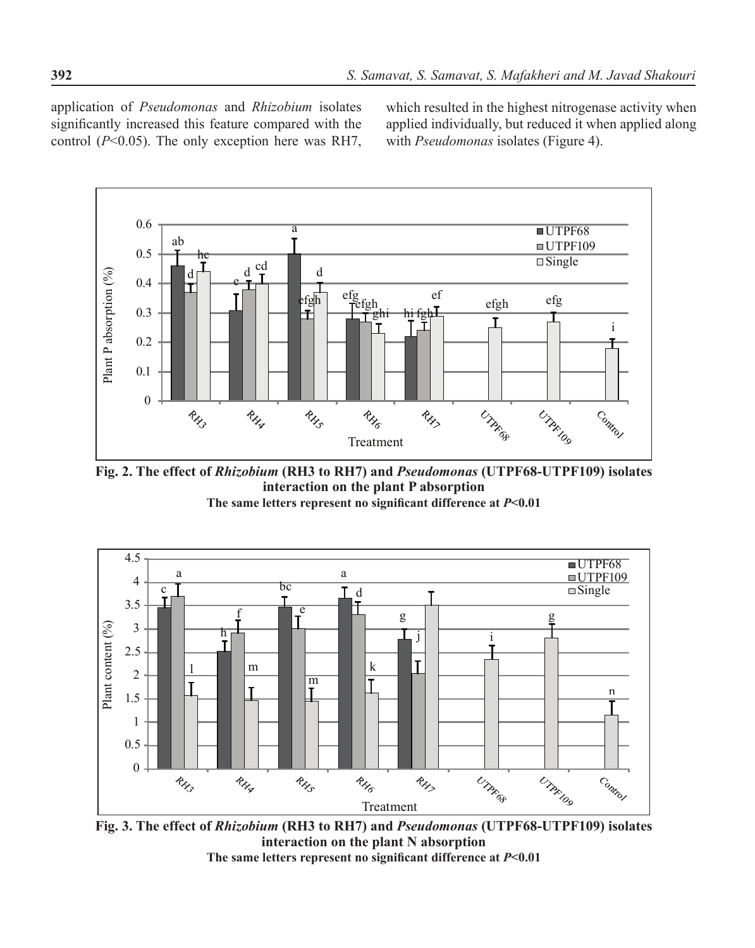application of *Pseudomonas* and *Rhizobium* isolates significantly increased this feature compared with the control (*P*<0.05). The only exception here was RH7,

which resulted in the highest nitrogenase activity when applied individually, but reduced it when applied along with *Pseudomonas* isolates (Figure 4).



**Fig. 2. The effect of** *Rhizobium* **(RH3 to RH7) and** *Pseudomonas* **(UTPF68-UTPF109) isolates interaction on the plant P absorption The same letters represent no significant difference at** *P***<0.01**



**Fig. 3. The effect of** *Rhizobium* **(RH3 to RH7) and** *Pseudomonas* **(UTPF68-UTPF109) isolates interaction on the plant N absorption The same letters represent no significant difference at** *P***<0.01**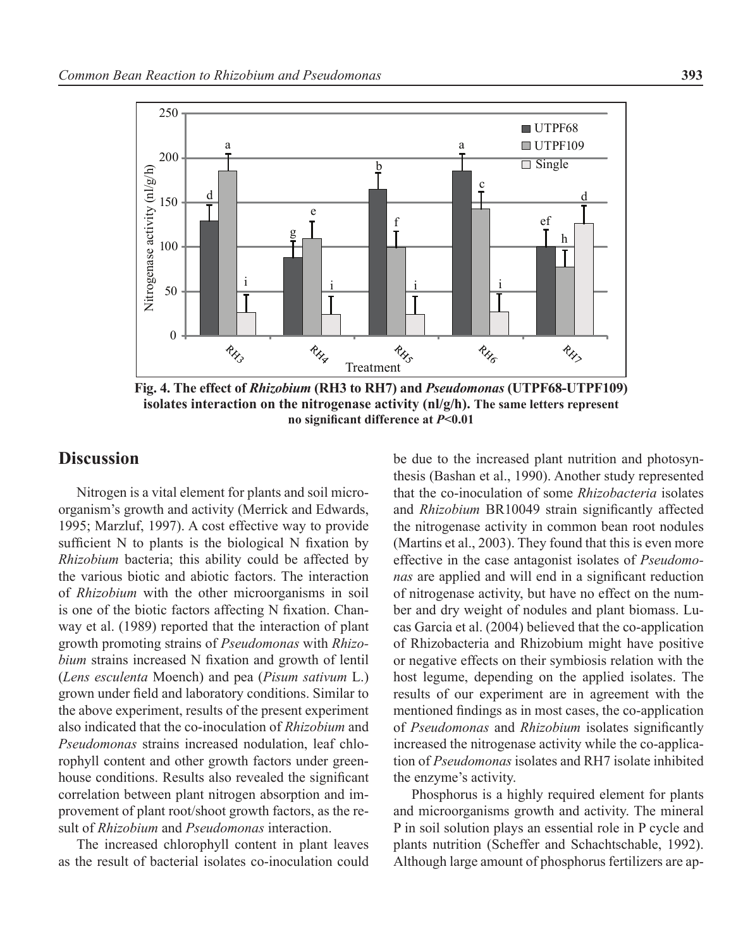

**Fig. 4. The effect of** *Rhizobium* **(RH3 to RH7) and** *Pseudomonas* **(UTPF68-UTPF109) isolates interaction on the nitrogenase activity (nl/g/h). The same letters represent no significant difference at** *P***<0.01**

### **Discussion**

Nitrogen is a vital element for plants and soil microorganism's growth and activity (Merrick and Edwards, 1995; Marzluf, 1997). A cost effective way to provide sufficient N to plants is the biological N fixation by *Rhizobium* bacteria; this ability could be affected by the various biotic and abiotic factors. The interaction of *Rhizobium* with the other microorganisms in soil is one of the biotic factors affecting N fixation. Chanway et al. (1989) reported that the interaction of plant growth promoting strains of *Pseudomonas* with *Rhizobium* strains increased N fixation and growth of lentil (*Lens esculenta* Moench) and pea (*Pisum sativum* L.) grown under field and laboratory conditions. Similar to the above experiment, results of the present experiment also indicated that the co-inoculation of *Rhizobium* and *Pseudomonas* strains increased nodulation, leaf chlorophyll content and other growth factors under greenhouse conditions. Results also revealed the significant correlation between plant nitrogen absorption and improvement of plant root/shoot growth factors, as the result of *Rhizobium* and *Pseudomonas* interaction.

The increased chlorophyll content in plant leaves as the result of bacterial isolates co-inoculation could be due to the increased plant nutrition and photosynthesis (Bashan et al., 1990). Another study represented that the co-inoculation of some *Rhizobacteria* isolates and *Rhizobium* BR10049 strain significantly affected the nitrogenase activity in common bean root nodules (Martins et al., 2003). They found that this is even more effective in the case antagonist isolates of *Pseudomonas* are applied and will end in a significant reduction of nitrogenase activity, but have no effect on the number and dry weight of nodules and plant biomass. Lucas Garcia et al. (2004) believed that the co-application of Rhizobacteria and Rhizobium might have positive or negative effects on their symbiosis relation with the host legume, depending on the applied isolates. The results of our experiment are in agreement with the mentioned findings as in most cases, the co-application of *Pseudomonas* and *Rhizobium* isolates significantly increased the nitrogenase activity while the co-application of *Pseudomonas* isolates and RH7 isolate inhibited the enzyme's activity.

Phosphorus is a highly required element for plants and microorganisms growth and activity. The mineral P in soil solution plays an essential role in P cycle and plants nutrition (Scheffer and Schachtschable, 1992). Although large amount of phosphorus fertilizers are ap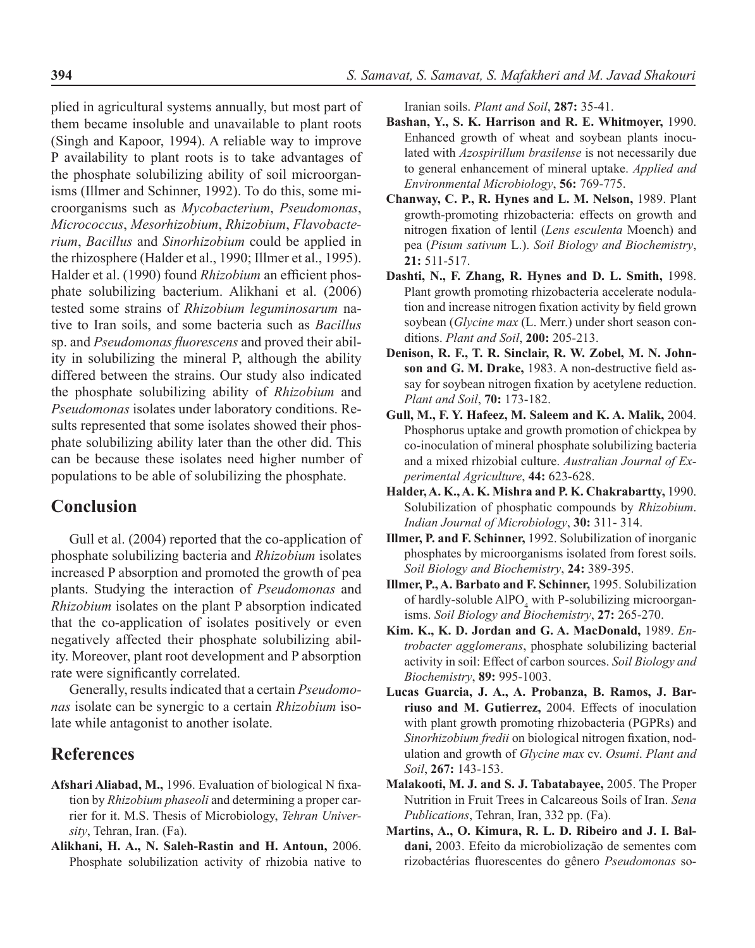plied in agricultural systems annually, but most part of them became insoluble and unavailable to plant roots (Singh and Kapoor, 1994). A reliable way to improve P availability to plant roots is to take advantages of the phosphate solubilizing ability of soil microorganisms (Illmer and Schinner, 1992). To do this, some microorganisms such as *Mycobacterium*, *Pseudomonas*, *Micrococcus*, *Mesorhizobium*, *Rhizobium*, *Flavobacterium*, *Bacillus* and *Sinorhizobium* could be applied in the rhizosphere (Halder et al., 1990; Illmer et al., 1995). Halder et al. (1990) found *Rhizobium* an efficient phosphate solubilizing bacterium. Alikhani et al. (2006) tested some strains of *Rhizobium leguminosarum* native to Iran soils, and some bacteria such as *Bacillus* sp. and *Pseudomonas fluorescens* and proved their ability in solubilizing the mineral P, although the ability differed between the strains. Our study also indicated the phosphate solubilizing ability of *Rhizobium* and *Pseudomonas* isolates under laboratory conditions. Results represented that some isolates showed their phosphate solubilizing ability later than the other did. This can be because these isolates need higher number of populations to be able of solubilizing the phosphate.

### **Conclusion**

Gull et al. (2004) reported that the co-application of phosphate solubilizing bacteria and *Rhizobium* isolates increased P absorption and promoted the growth of pea plants. Studying the interaction of *Pseudomonas* and *Rhizobium* isolates on the plant P absorption indicated that the co-application of isolates positively or even negatively affected their phosphate solubilizing ability. Moreover, plant root development and P absorption rate were significantly correlated.

Generally, results indicated that a certain *Pseudomonas* isolate can be synergic to a certain *Rhizobium* isolate while antagonist to another isolate.

## **References**

- **Afshari Aliabad, M.,** 1996. Evaluation of biological N fixation by *Rhizobium phaseoli* and determining a proper carrier for it. M.S. Thesis of Microbiology, *Tehran University*, Tehran, Iran. (Fa).
- **Alikhani, H. A., N. Saleh-Rastin and H. Antoun,** 2006. Phosphate solubilization activity of rhizobia native to

Iranian soils. *Plant and Soil*, **287:** 35-41.

- **Bashan, Y., S. K. Harrison and R. E. Whitmoyer,** 1990. Enhanced growth of wheat and soybean plants inoculated with *Azospirillum brasilense* is not necessarily due to general enhancement of mineral uptake. *Applied and Environmental Microbiology*, **56:** 769-775.
- **Chanway, C. P., R. Hynes and L. M. Nelson,** 1989. Plant growth-promoting rhizobacteria: effects on growth and nitrogen fixation of lentil (*Lens esculenta* Moench) and pea (*Pisum sativum* L.). *Soil Biology and Biochemistry*, **21:** 511-517.
- **Dashti, N., F. Zhang, R. Hynes and D. L. Smith,** 1998. Plant growth promoting rhizobacteria accelerate nodulation and increase nitrogen fixation activity by field grown soybean (*Glycine max* (L. Merr.) under short season conditions. *Plant and Soil*, **200:** 205-213.
- **Denison, R. F., T. R. Sinclair, R. W. Zobel, M. N. Johnson and G. M. Drake,** 1983. A non-destructive field assay for soybean nitrogen fixation by acetylene reduction. *Plant and Soil*, **70:** 173-182.
- **Gull, M., F. Y. Hafeez, M. Saleem and K. A. Malik,** 2004. Phosphorus uptake and growth promotion of chickpea by co-inoculation of mineral phosphate solubilizing bacteria and a mixed rhizobial culture. *Australian Journal of Experimental Agriculture*, **44:** 623-628.
- **Halder, A. K., A. K. Mishra and P. K. Chakrabartty,** 1990. Solubilization of phosphatic compounds by *Rhizobium*. *Indian Journal of Microbiology*, **30:** 311- 314.
- **Illmer, P. and F. Schinner,** 1992. Solubilization of inorganic phosphates by microorganisms isolated from forest soils. *Soil Biology and Biochemistry*, **24:** 389-395.
- **Illmer, P., A. Barbato and F. Schinner,** 1995. Solubilization of hardly-soluble  $A_1PO_4$  with P-solubilizing microorganisms. *Soil Biology and Biochemistry*, **27:** 265-270.
- **Kim. K., K. D. Jordan and G. A. MacDonald,** 1989. *Entrobacter agglomerans*, phosphate solubilizing bacterial activity in soil: Effect of carbon sources. *Soil Biology and Biochemistry*, **89:** 995-1003.
- **Lucas Guarcia, J. A., A. Probanza, B. Ramos, J. Barriuso and M. Gutierrez,** 2004. Effects of inoculation with plant growth promoting rhizobacteria (PGPRs) and *Sinorhizobium fredii* on biological nitrogen fixation, nodulation and growth of *Glycine max* cv. *Osumi*. *Plant and Soil*, **267:** 143-153.
- **Malakooti, M. J. and S. J. Tabatabayee,** 2005. The Proper Nutrition in Fruit Trees in Calcareous Soils of Iran. *Sena Publications*, Tehran, Iran, 332 pp. (Fa).
- **Martins, A., O. Kimura, R. L. D. Ribeiro and J. I. Baldani,** 2003. Efeito da microbiolização de sementes com rizobactérias fluorescentes do gênero *Pseudomonas* so-